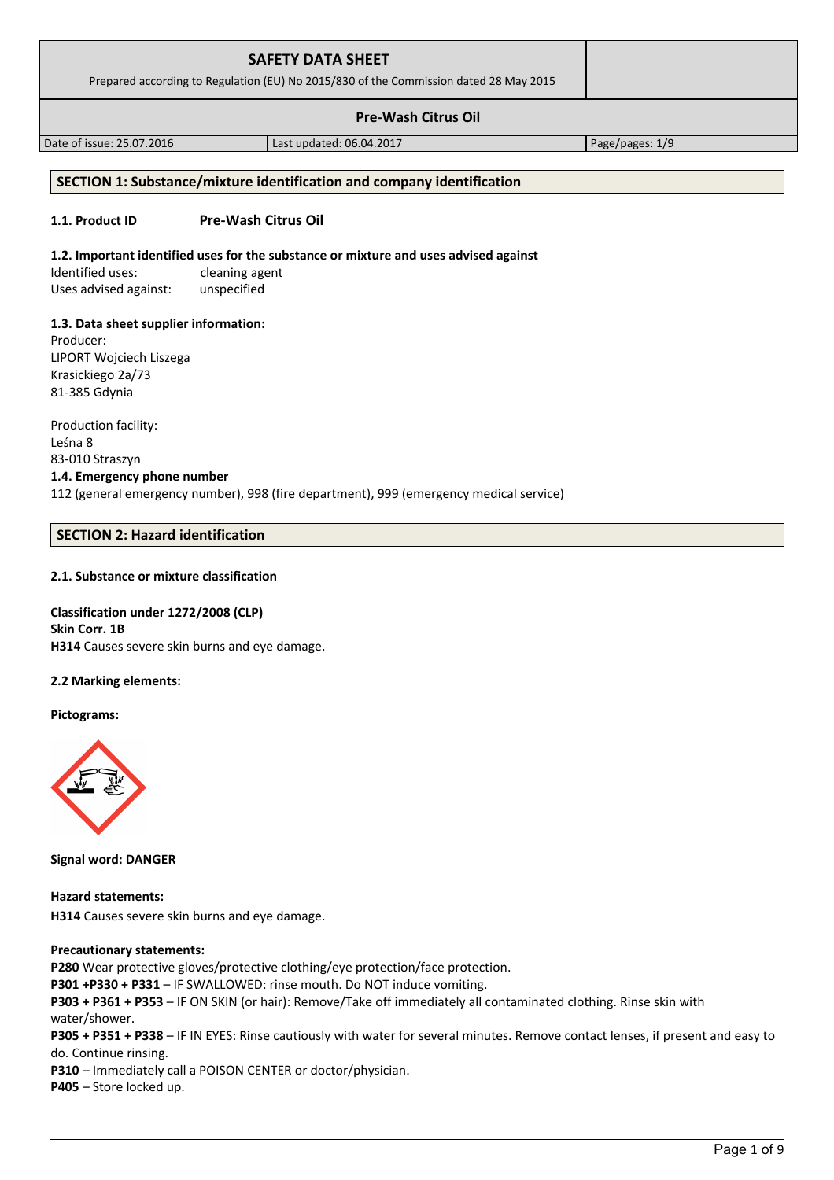| Prepared according to Regulation (EU) No 2015/830 of the Commission dated 28 May 2015 |                          |                 |  |  |
|---------------------------------------------------------------------------------------|--------------------------|-----------------|--|--|
|                                                                                       |                          |                 |  |  |
| Date of issue: 25.07.2016                                                             | Last updated: 06.04.2017 | Page/pages: 1/9 |  |  |
| SECTION 1: Substance/mixture identification and company identification                |                          |                 |  |  |

# **1.1. Product ID Pre-Wash Citrus Oil**

### **1.2. Important identified uses for the substance or mixture and uses advised against**

Identified uses: cleaning agent Uses advised against: unspecified

### **1.3. Data sheet supplier information:**

Producer: LIPORT Wojciech Liszega Krasickiego 2a/73 81-385 Gdynia

Production facility: Leśna 8 83-010 Straszyn **1.4. Emergency phone number** 112 (general emergency number), 998 (fire department), 999 (emergency medical service)

## **SECTION 2: Hazard identification**

### **2.1. Substance or mixture classification**

**Classification under 1272/2008 (CLP) Skin Corr. 1B H314** Causes severe skin burns and eye damage.

### **2.2 Marking elements:**

**Pictograms:**



**Signal word: DANGER**

**Hazard statements: H314** Causes severe skin burns and eye damage.

#### **Precautionary statements:**

**P280** Wear protective gloves/protective clothing/eye protection/face protection. **P301 +P330 + P331** – IF SWALLOWED: rinse mouth. Do NOT induce vomiting. **P303 + P361 + P353** – IF ON SKIN (or hair): Remove/Take off immediately all contaminated clothing. Rinse skin with water/shower. **P305 + P351 + P338** – IF IN EYES: Rinse cautiously with water for several minutes. Remove contact lenses, if present and easy to do. Continue rinsing. **P310** – Immediately call a POISON CENTER or doctor/physician.

**P405** – Store locked up.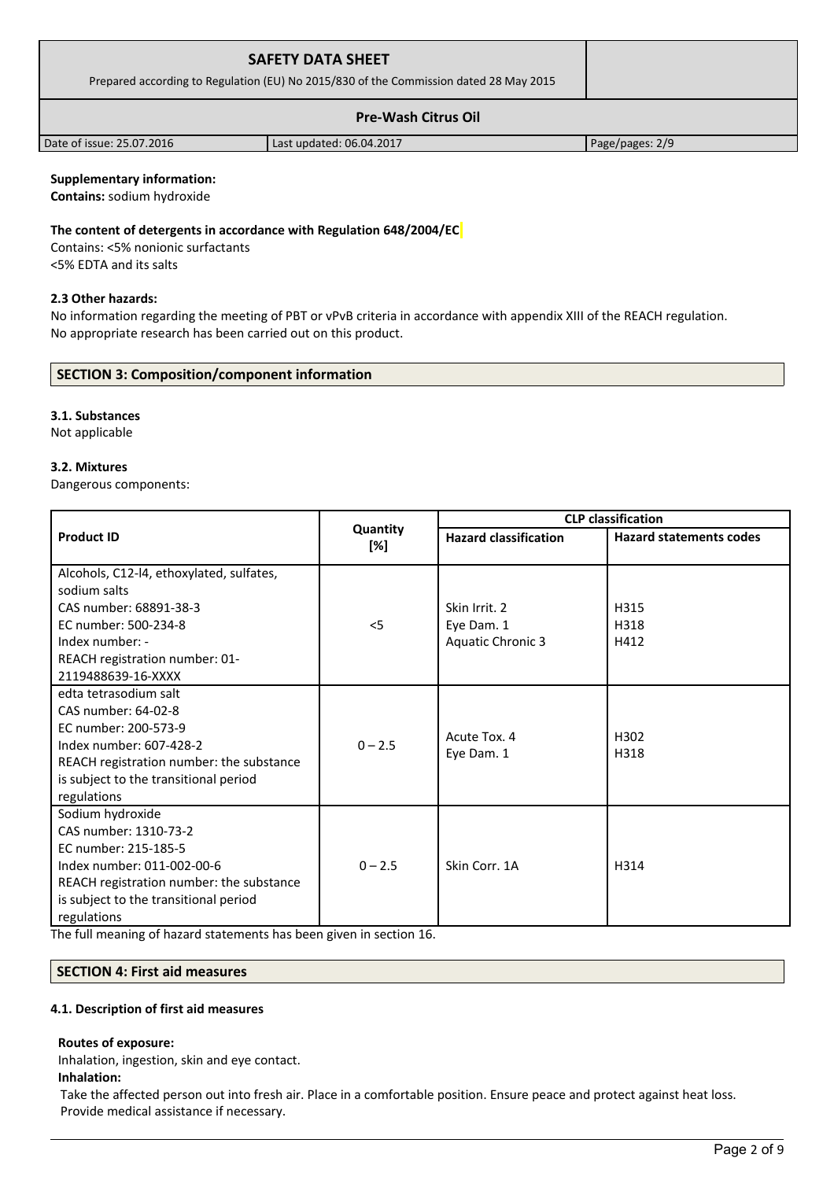| <b>SAFETY DATA SHEET</b><br>Prepared according to Regulation (EU) No 2015/830 of the Commission dated 28 May 2015 |                          |                 |
|-------------------------------------------------------------------------------------------------------------------|--------------------------|-----------------|
|                                                                                                                   |                          |                 |
| Date of issue: 25.07.2016                                                                                         | Last updated: 06.04.2017 | Page/pages: 2/9 |

## **Supplementary information:**

**Contains:** sodium hydroxide

#### **The content of detergents in accordance with Regulation 648/2004/EC**

Contains: <5% nonionic surfactants <5% EDTA and its salts

## **2.3 Other hazards:**

No information regarding the meeting of PBT or vPvB criteria in accordance with appendix XIII of the REACH regulation. No appropriate research has been carried out on this product.

# **SECTION 3: Composition/component information**

# **3.1. Substances**

Not applicable

## **3.2. Mixtures**

Dangerous components:

|                                          |                 |                              | <b>CLP</b> classification      |  |
|------------------------------------------|-----------------|------------------------------|--------------------------------|--|
| <b>Product ID</b>                        | Quantity<br>[%] | <b>Hazard classification</b> | <b>Hazard statements codes</b> |  |
| Alcohols, C12-l4, ethoxylated, sulfates, |                 |                              |                                |  |
| sodium salts                             |                 |                              |                                |  |
| CAS number: 68891-38-3                   |                 | Skin Irrit. 2                | H315                           |  |
| EC number: 500-234-8                     | $<$ 5           | Eye Dam. 1                   | H318                           |  |
| Index number: -                          |                 | <b>Aquatic Chronic 3</b>     | H412                           |  |
| REACH registration number: 01-           |                 |                              |                                |  |
| 2119488639-16-XXXX                       |                 |                              |                                |  |
| edta tetrasodium salt                    |                 |                              |                                |  |
| CAS number: 64-02-8                      |                 |                              |                                |  |
| EC number: 200-573-9                     |                 | Acute Tox. 4                 | H302                           |  |
| Index number: 607-428-2                  | $0 - 2.5$       | Eye Dam. 1                   | H318                           |  |
| REACH registration number: the substance |                 |                              |                                |  |
| is subject to the transitional period    |                 |                              |                                |  |
| regulations                              |                 |                              |                                |  |
| Sodium hydroxide                         |                 |                              |                                |  |
| CAS number: 1310-73-2                    |                 |                              |                                |  |
| EC number: 215-185-5                     |                 |                              |                                |  |
| Index number: 011-002-00-6               | $0 - 2.5$       | Skin Corr. 1A                | H314                           |  |
| REACH registration number: the substance |                 |                              |                                |  |
| is subject to the transitional period    |                 |                              |                                |  |
| regulations                              |                 |                              |                                |  |

The full meaning of hazard statements has been given in section 16.

# **SECTION 4: First aid measures**

#### **4.1. Description of first aid measures**

## **Routes of exposure:**

Inhalation, ingestion, skin and eye contact.

#### **Inhalation:**

Take the affected person out into fresh air. Place in a comfortable position. Ensure peace and protect against heat loss. Provide medical assistance if necessary.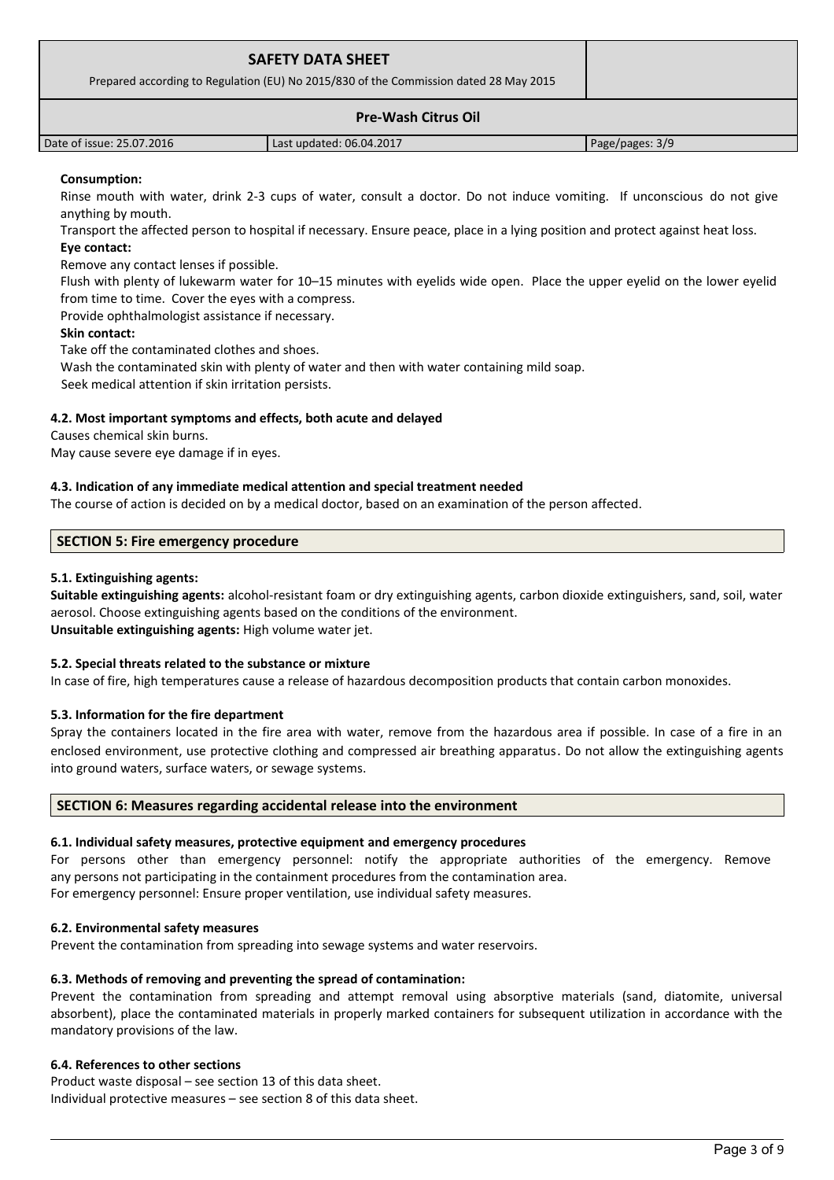| <b>SAFETY DATA SHEET</b>                                                              |                          |                 |
|---------------------------------------------------------------------------------------|--------------------------|-----------------|
| Prepared according to Regulation (EU) No 2015/830 of the Commission dated 28 May 2015 |                          |                 |
|                                                                                       |                          |                 |
| Date of issue: 25.07.2016                                                             | Last updated: 06.04.2017 | Page/pages: 3/9 |

## **Consumption:**

Rinse mouth with water, drink 2-3 cups of water, consult a doctor. Do not induce vomiting. If unconscious do not give anything by mouth.

Transport the affected person to hospital if necessary. Ensure peace, place in a lying position and protect against heat loss. **Eye contact:**

Remove any contact lenses if possible.

Flush with plenty of lukewarm water for 10–15 minutes with eyelids wide open. Place the upper eyelid on the lower eyelid from time to time. Cover the eyes with a compress.

Provide ophthalmologist assistance if necessary.

### **Skin contact:**

Take off the contaminated clothes and shoes.

Wash the contaminated skin with plenty of water and then with water containing mild soap.

Seek medical attention if skin irritation persists.

## **4.2. Most important symptoms and effects, both acute and delayed**

Causes chemical skin burns.

May cause severe eye damage if in eyes.

### **4.3. Indication of any immediate medical attention and special treatment needed**

The course of action is decided on by a medical doctor, based on an examination of the person affected.

## **SECTION 5: Fire emergency procedure**

### **5.1. Extinguishing agents:**

**Suitable extinguishing agents:** alcohol-resistant foam or dry extinguishing agents, carbon dioxide extinguishers, sand, soil, water aerosol. Choose extinguishing agents based on the conditions of the environment. **Unsuitable extinguishing agents:** High volume water jet.

## **5.2. Special threats related to the substance or mixture**

In case of fire, high temperatures cause a release of hazardous decomposition products that contain carbon monoxides.

#### **5.3. Information for the fire department**

Spray the containers located in the fire area with water, remove from the hazardous area if possible. In case of a fire in an enclosed environment, use protective clothing and compressed air breathing apparatus. Do not allow the extinguishing agents into ground waters, surface waters, or sewage systems.

#### **SECTION 6: Measures regarding accidental release into the environment**

## **6.1. Individual safety measures, protective equipment and emergency procedures**

For persons other than emergency personnel: notify the appropriate authorities of the emergency. Remove any persons not participating in the containment procedures from the contamination area.

For emergency personnel: Ensure proper ventilation, use individual safety measures.

## **6.2. Environmental safety measures**

Prevent the contamination from spreading into sewage systems and water reservoirs.

## **6.3. Methods of removing and preventing the spread of contamination:**

Prevent the contamination from spreading and attempt removal using absorptive materials (sand, diatomite, universal absorbent), place the contaminated materials in properly marked containers for subsequent utilization in accordance with the mandatory provisions of the law.

## **6.4. References to other sections**

Product waste disposal – see section 13 of this data sheet. Individual protective measures – see section 8 of this data sheet.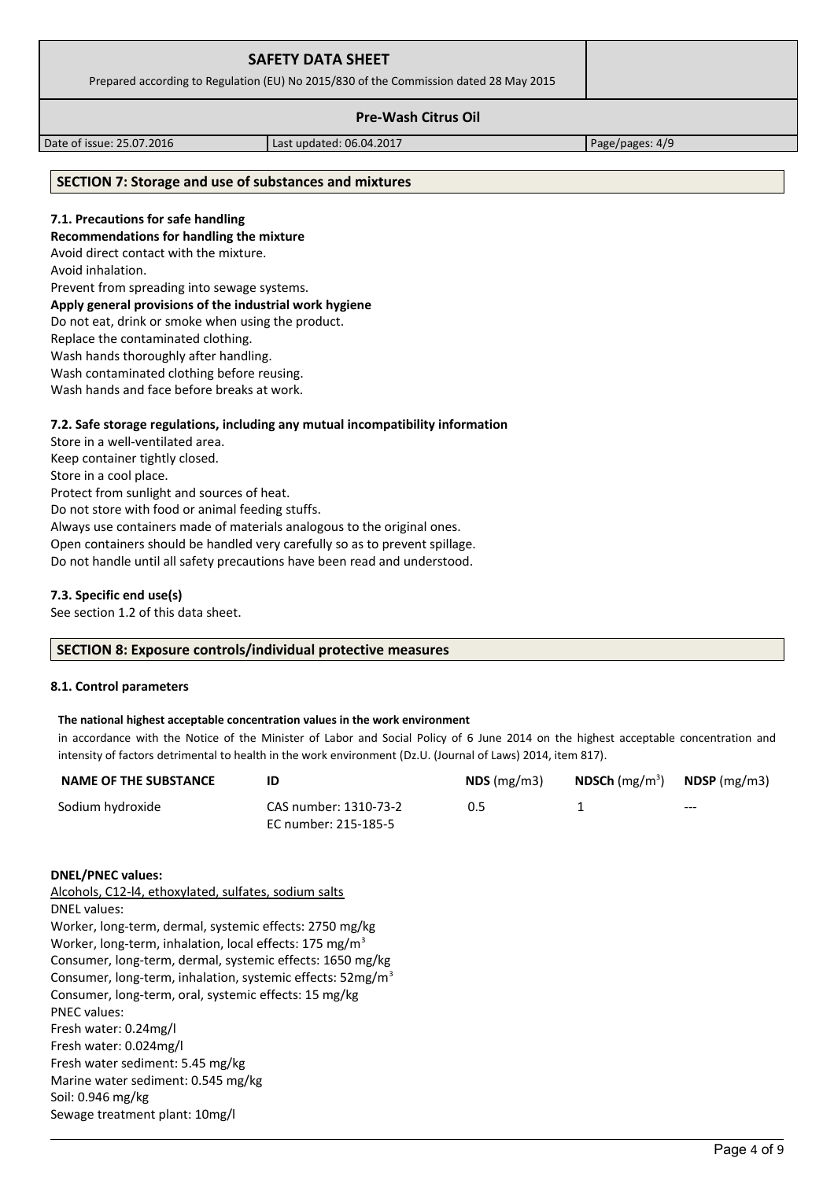| <b>SAFETY DATA SHEET</b>                                                              |  |
|---------------------------------------------------------------------------------------|--|
| Prepared according to Regulation (EU) No 2015/830 of the Commission dated 28 May 2015 |  |
| <b>Pre-Wash Citrus Oil</b>                                                            |  |

Date of issue: 25.07.2016 Last updated: 06.04.2017 Page/pages: 4/9

# **SECTION 7: Storage and use of substances and mixtures**

#### **7.1. Precautions for safe handling**

**Recommendations for handling the mixture** 

Avoid direct contact with the mixture.

Avoid inhalation.

Prevent from spreading into sewage systems.

# **Apply general provisions of the industrial work hygiene**

Do not eat, drink or smoke when using the product.

Replace the contaminated clothing.

Wash hands thoroughly after handling.

Wash contaminated clothing before reusing.

Wash hands and face before breaks at work.

## **7.2. Safe storage regulations, including any mutual incompatibility information**

Store in a well-ventilated area. Keep container tightly closed. Store in a cool place. Protect from sunlight and sources of heat. Do not store with food or animal feeding stuffs. Always use containers made of materials analogous to the original ones. Open containers should be handled very carefully so as to prevent spillage. Do not handle until all safety precautions have been read and understood.

## **7.3. Specific end use(s)**

See section 1.2 of this data sheet.

## **SECTION 8: Exposure controls/individual protective measures**

## **8.1. Control parameters**

#### **The national highest acceptable concentration values in the work environment**

in accordance with the Notice of the Minister of Labor and Social Policy of 6 June 2014 on the highest acceptable concentration and intensity of factors detrimental to health in the work environment (Dz.U. (Journal of Laws) 2014, item 817).

| <b>NAME OF THE SUBSTANCE</b> |                       | $NDS$ (mg/m3) | <b>NDSCh</b> (mg/m <sup>3</sup> ) | $N$ DSP (mg/m3) |
|------------------------------|-----------------------|---------------|-----------------------------------|-----------------|
| Sodium hydroxide             | CAS number: 1310-73-2 | 0.5           |                                   | $---$           |
|                              | EC number: 215-185-5  |               |                                   |                 |

#### **DNEL/PNEC values:**

Alcohols, C12-l4, ethoxylated, sulfates, sodium salts DNEL values: Worker, long-term, dermal, systemic effects: 2750 mg/kg Worker, long-term, inhalation, local effects: 175 mg/m<sup>3</sup> Consumer, long-term, dermal, systemic effects: 1650 mg/kg Consumer, long-term, inhalation, systemic effects: 52mg/m<sup>3</sup> Consumer, long-term, oral, systemic effects: 15 mg/kg PNEC values: Fresh water: 0.24mg/l Fresh water: 0.024mg/l Fresh water sediment: 5.45 mg/kg Marine water sediment: 0.545 mg/kg Soil: 0.946 mg/kg Sewage treatment plant: 10mg/l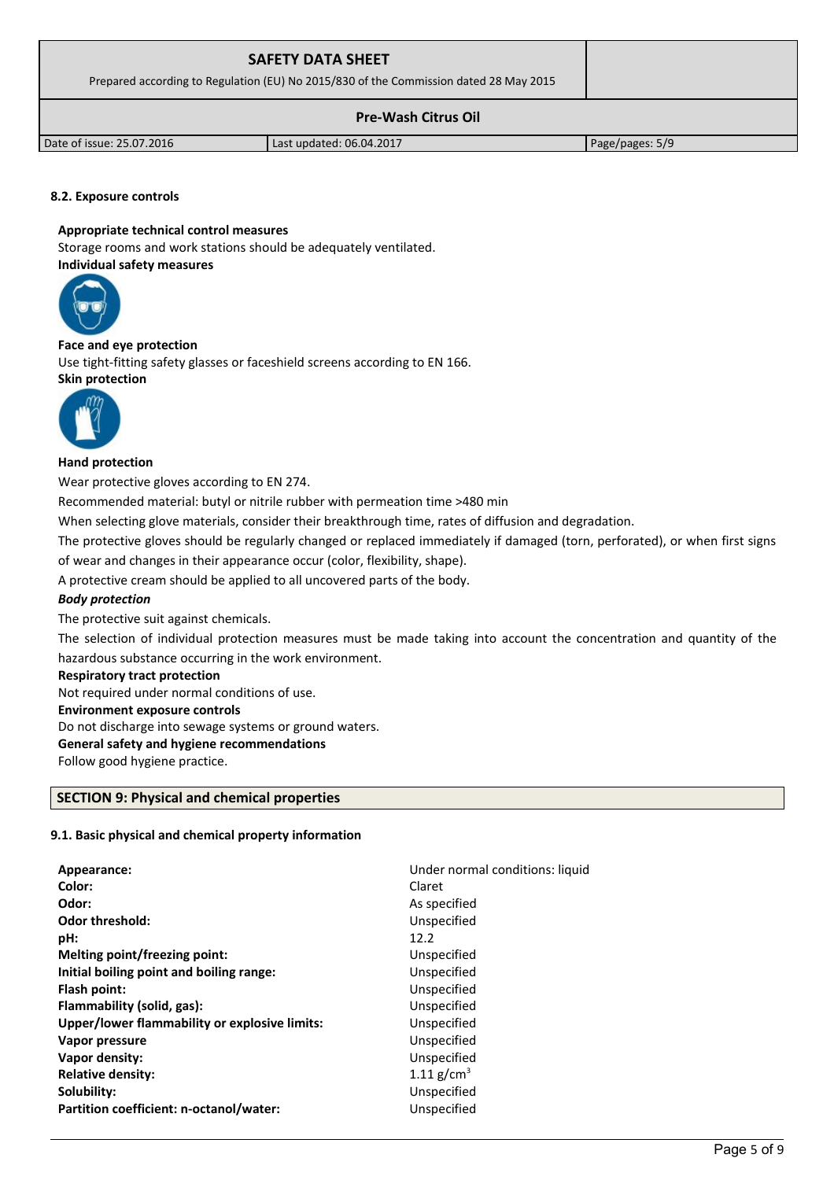| <b>SAFETY DATA SHEET</b><br>Prepared according to Regulation (EU) No 2015/830 of the Commission dated 28 May 2015 |                          |                 |
|-------------------------------------------------------------------------------------------------------------------|--------------------------|-----------------|
|                                                                                                                   |                          |                 |
| Date of issue: 25.07.2016                                                                                         | Last updated: 06.04.2017 | Page/pages: 5/9 |

## **8.2. Exposure controls**

#### **Appropriate technical control measures**

Storage rooms and work stations should be adequately ventilated. **Individual safety measures** 



#### **Face and eye protection**

Use tight-fitting safety glasses or faceshield screens according to EN 166. **Skin protection** 



### **Hand protection**

Wear protective gloves according to EN 274.

Recommended material: butyl or nitrile rubber with permeation time >480 min

When selecting glove materials, consider their breakthrough time, rates of diffusion and degradation.

The protective gloves should be regularly changed or replaced immediately if damaged (torn, perforated), or when first signs

of wear and changes in their appearance occur (color, flexibility, shape).

A protective cream should be applied to all uncovered parts of the body.

## *Body protection*

The protective suit against chemicals.

The selection of individual protection measures must be made taking into account the concentration and quantity of the hazardous substance occurring in the work environment.

#### **Respiratory tract protection**

Not required under normal conditions of use.

#### **Environment exposure controls**

Do not discharge into sewage systems or ground waters.

#### **General safety and hygiene recommendations**

Follow good hygiene practice.

## **SECTION 9: Physical and chemical properties**

# **9.1. Basic physical and chemical property information**

| Appearance:                                   | Under normal conditions: liquid |
|-----------------------------------------------|---------------------------------|
| Color:                                        | Claret                          |
| Odor:                                         | As specified                    |
| <b>Odor threshold:</b>                        | Unspecified                     |
| pH:                                           | 12.2                            |
| Melting point/freezing point:                 | Unspecified                     |
| Initial boiling point and boiling range:      | Unspecified                     |
| Flash point:                                  | Unspecified                     |
| Flammability (solid, gas):                    | Unspecified                     |
| Upper/lower flammability or explosive limits: | Unspecified                     |
| Vapor pressure                                | Unspecified                     |
| Vapor density:                                | Unspecified                     |
| <b>Relative density:</b>                      | 1.11 $g/cm^{3}$                 |
| Solubility:                                   | Unspecified                     |
| Partition coefficient: n-octanol/water:       | Unspecified                     |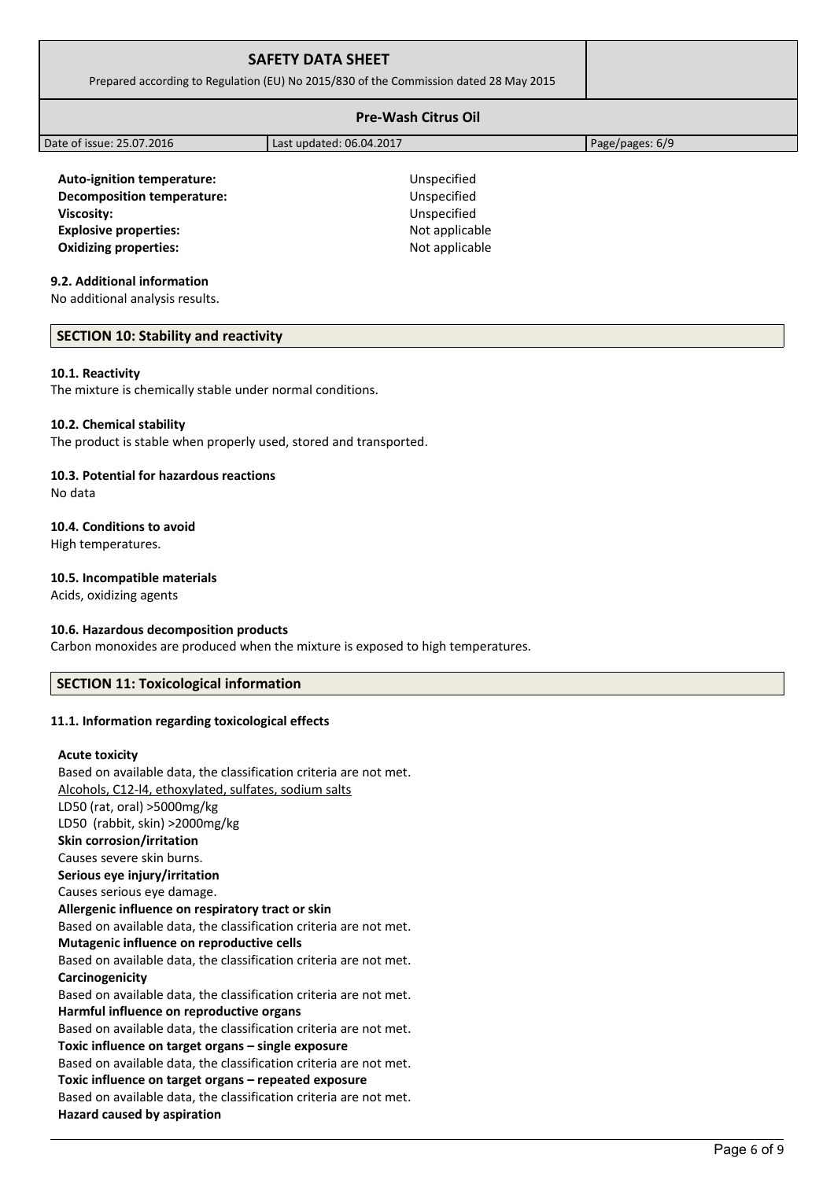| <b>SAFETY DATA SHEET</b><br>Prepared according to Regulation (EU) No 2015/830 of the Commission dated 28 May 2015 |                          |                 |  |
|-------------------------------------------------------------------------------------------------------------------|--------------------------|-----------------|--|
| <b>Pre-Wash Citrus Oil</b>                                                                                        |                          |                 |  |
| Date of issue: 25.07.2016                                                                                         | Last updated: 06.04.2017 | Page/pages: 6/9 |  |
|                                                                                                                   |                          |                 |  |

**Auto-ignition temperature:** Unspecified **Decomposition temperature:** Unspecified **Viscosity:** Unspecified **Explosive properties:**  $\blacksquare$  Not applicable **Oxidizing properties:** Not applicable

## **9.2. Additional information**

No additional analysis results.

## **SECTION 10: Stability and reactivity**

### **10.1. Reactivity**

The mixture is chemically stable under normal conditions.

### **10.2. Chemical stability**

The product is stable when properly used, stored and transported.

## **10.3. Potential for hazardous reactions**

No data

## **10.4. Conditions to avoid**

High temperatures.

# **10.5. Incompatible materials**

Acids, oxidizing agents

## **10.6. Hazardous decomposition products**

Carbon monoxides are produced when the mixture is exposed to high temperatures.

# **SECTION 11: Toxicological information**

## **11.1. Information regarding toxicological effects**

#### **Acute toxicity**

Based on available data, the classification criteria are not met. Alcohols, C12-l4, ethoxylated, sulfates, sodium salts LD50 (rat, oral) >5000mg/kg LD50 (rabbit, skin) >2000mg/kg **Skin corrosion/irritation** Causes severe skin burns. **Serious eye injury/irritation** Causes serious eye damage. **Allergenic influence on respiratory tract or skin** Based on available data, the classification criteria are not met. **Mutagenic influence on reproductive cells** Based on available data, the classification criteria are not met. **Carcinogenicity** Based on available data, the classification criteria are not met. **Harmful influence on reproductive organs** Based on available data, the classification criteria are not met. **Toxic influence on target organs – single exposure** Based on available data, the classification criteria are not met. **Toxic influence on target organs – repeated exposure** Based on available data, the classification criteria are not met. **Hazard caused by aspiration**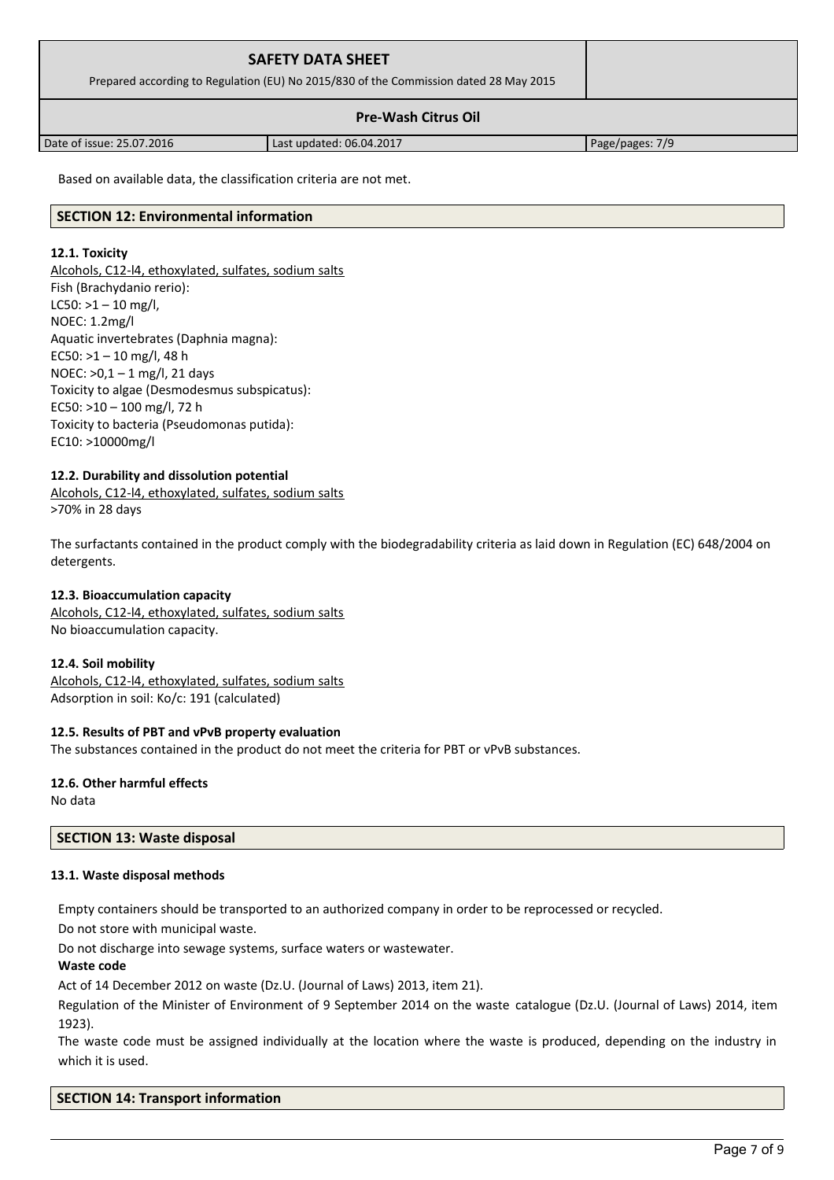| <b>SAFETY DATA SHEET</b><br>Prepared according to Regulation (EU) No 2015/830 of the Commission dated 28 May 2015 |  |
|-------------------------------------------------------------------------------------------------------------------|--|
| <b>Pre-Wash Citrus Oil</b>                                                                                        |  |

Date of issue: 25.07.2016 Last updated: 06.04.2017 Page/pages: 7/9

Based on available data, the classification criteria are not met.

## **SECTION 12: Environmental information**

## **12.1. Toxicity**

Alcohols, C12-l4, ethoxylated, sulfates, sodium salts Fish (Brachydanio rerio):  $LCS0: >1 - 10$  mg/l, NOEC: 1.2mg/l Aquatic invertebrates (Daphnia magna): EC50:  $>1 - 10$  mg/l, 48 h NOEC: >0,1 – 1 mg/l, 21 days Toxicity to algae (Desmodesmus subspicatus): EC50: >10 – 100 mg/l, 72 h Toxicity to bacteria (Pseudomonas putida): EC10: >10000mg/l

# **12.2. Durability and dissolution potential**

Alcohols, C12-l4, ethoxylated, sulfates, sodium salts >70% in 28 days

The surfactants contained in the product comply with the biodegradability criteria as laid down in Regulation (EC) 648/2004 on detergents.

## **12.3. Bioaccumulation capacity**

Alcohols, C12-l4, ethoxylated, sulfates, sodium salts No bioaccumulation capacity.

## **12.4. Soil mobility**

Alcohols, C12-l4, ethoxylated, sulfates, sodium salts Adsorption in soil: Ko/c: 191 (calculated)

## **12.5. Results of PBT and vPvB property evaluation**

The substances contained in the product do not meet the criteria for PBT or vPvB substances.

# **12.6. Other harmful effects**

No data

## **SECTION 13: Waste disposal**

## **13.1. Waste disposal methods**

Empty containers should be transported to an authorized company in order to be reprocessed or recycled.

Do not store with municipal waste.

Do not discharge into sewage systems, surface waters or wastewater.

### **Waste code**

Act of 14 December 2012 on waste (Dz.U. (Journal of Laws) 2013, item 21).

Regulation of the Minister of Environment of 9 September 2014 on the waste catalogue (Dz.U. (Journal of Laws) 2014, item 1923).

The waste code must be assigned individually at the location where the waste is produced, depending on the industry in which it is used.

## **SECTION 14: Transport information**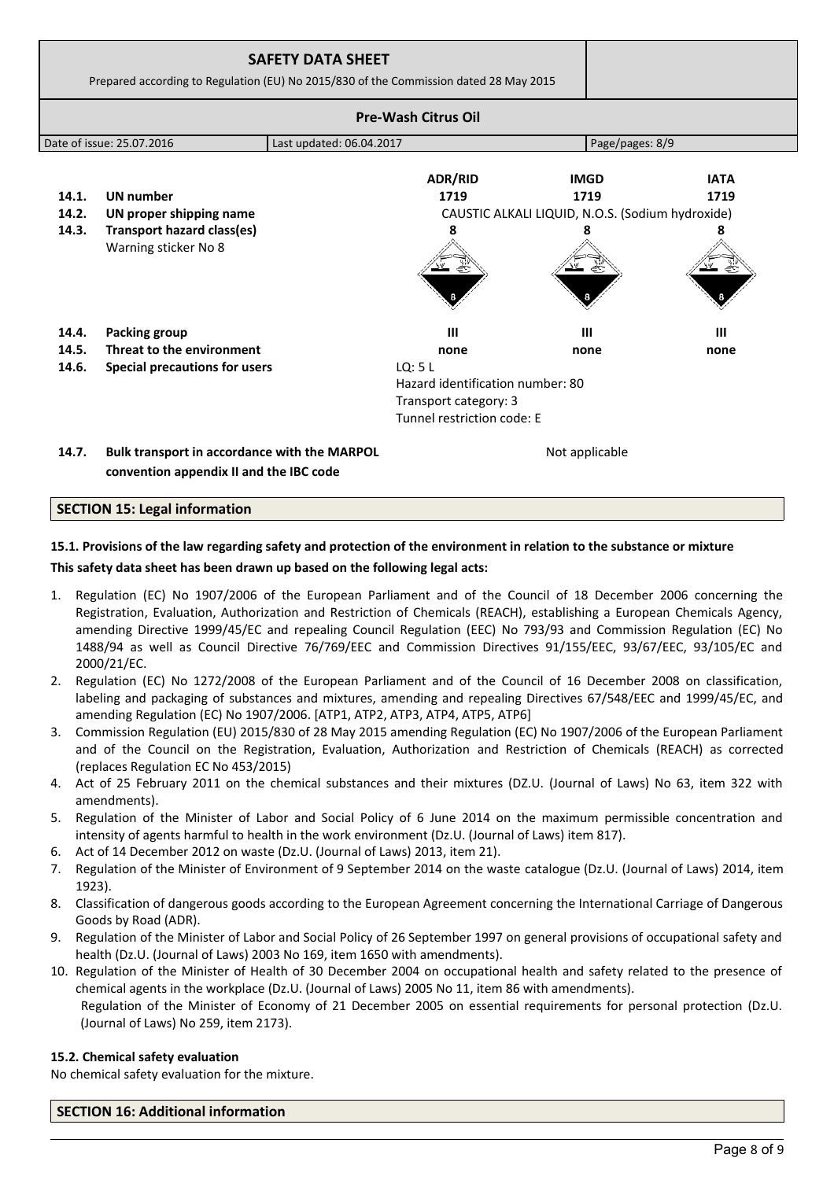|       | Prepared according to Regulation (EU) No 2015/830 of the Commission dated 28 May 2015   | <b>SAFETY DATA SHEET</b> |                                                                                                   |                                                  |             |
|-------|-----------------------------------------------------------------------------------------|--------------------------|---------------------------------------------------------------------------------------------------|--------------------------------------------------|-------------|
|       |                                                                                         |                          | <b>Pre-Wash Citrus Oil</b>                                                                        |                                                  |             |
|       | Date of issue: 25.07.2016                                                               | Last updated: 06.04.2017 |                                                                                                   | Page/pages: 8/9                                  |             |
|       |                                                                                         |                          | <b>ADR/RID</b>                                                                                    | <b>IMGD</b>                                      | <b>IATA</b> |
| 14.1. | <b>UN</b> number                                                                        |                          | 1719                                                                                              | 1719                                             | 1719        |
| 14.2. | UN proper shipping name                                                                 |                          |                                                                                                   | CAUSTIC ALKALI LIQUID, N.O.S. (Sodium hydroxide) |             |
| 14.3. | <b>Transport hazard class(es)</b><br>Warning sticker No 8                               |                          | 8                                                                                                 |                                                  | 8           |
| 14.4. | <b>Packing group</b>                                                                    |                          | Ш                                                                                                 | Ш                                                | ш           |
| 14.5. | Threat to the environment                                                               |                          | none                                                                                              | none                                             | none        |
| 14.6. | Special precautions for users                                                           |                          | LO: 5L<br>Hazard identification number: 80<br>Transport category: 3<br>Tunnel restriction code: E |                                                  |             |
| 14.7. | Bulk transport in accordance with the MARPOL<br>convention appendix II and the IBC code |                          |                                                                                                   | Not applicable                                   |             |

# **SECTION 15: Legal information**

# **15.1. Provisions of the law regarding safety and protection of the environment in relation to the substance or mixture This safety data sheet has been drawn up based on the following legal acts:**

- 1. Regulation (EC) No 1907/2006 of the European Parliament and of the Council of 18 December 2006 concerning the Registration, Evaluation, Authorization and Restriction of Chemicals (REACH), establishing a European Chemicals Agency, amending Directive 1999/45/EC and repealing Council Regulation (EEC) No 793/93 and Commission Regulation (EC) No 1488/94 as well as Council Directive 76/769/EEC and Commission Directives 91/155/EEC, 93/67/EEC, 93/105/EC and 2000/21/EC.
- 2. Regulation (EC) No 1272/2008 of the European Parliament and of the Council of 16 December 2008 on classification, labeling and packaging of substances and mixtures, amending and repealing Directives 67/548/EEC and 1999/45/EC, and amending Regulation (EC) No 1907/2006. [ATP1, ATP2, ATP3, ATP4, ATP5, ATP6]
- 3. Commission Regulation (EU) 2015/830 of 28 May 2015 amending Regulation (EC) No 1907/2006 of the European Parliament and of the Council on the Registration, Evaluation, Authorization and Restriction of Chemicals (REACH) as corrected (replaces Regulation EC No 453/2015)
- 4. Act of 25 February 2011 on the chemical substances and their mixtures (DZ.U. (Journal of Laws) No 63, item 322 with amendments).
- 5. Regulation of the Minister of Labor and Social Policy of 6 June 2014 on the maximum permissible concentration and intensity of agents harmful to health in the work environment (Dz.U. (Journal of Laws) item 817).
- 6. Act of 14 December 2012 on waste (Dz.U. (Journal of Laws) 2013, item 21).
- 7. Regulation of the Minister of Environment of 9 September 2014 on the waste catalogue (Dz.U. (Journal of Laws) 2014, item 1923).
- 8. Classification of dangerous goods according to the European Agreement concerning the International Carriage of Dangerous Goods by Road (ADR).
- 9. Regulation of the Minister of Labor and Social Policy of 26 September 1997 on general provisions of occupational safety and health (Dz.U. (Journal of Laws) 2003 No 169, item 1650 with amendments).
- 10. Regulation of the Minister of Health of 30 December 2004 on occupational health and safety related to the presence of chemical agents in the workplace (Dz.U. (Journal of Laws) 2005 No 11, item 86 with amendments). Regulation of the Minister of Economy of 21 December 2005 on essential requirements for personal protection (Dz.U.
	- (Journal of Laws) No 259, item 2173).

## **15.2. Chemical safety evaluation**

No chemical safety evaluation for the mixture.

# **SECTION 16: Additional information**